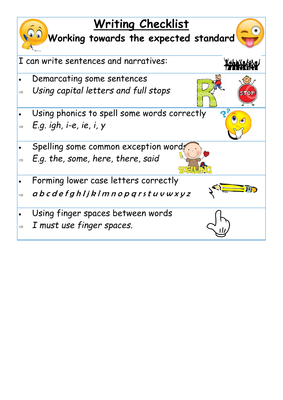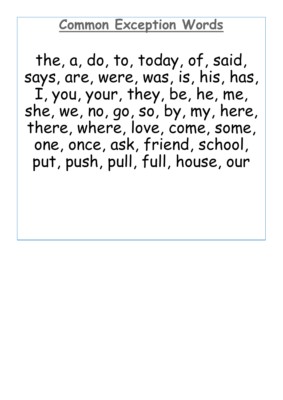## **Common Exception Words**

the, a, do, to, today, of, said, says, are, were, was, is, his, has, I, you, your, they, be, he, me, she, we, no, go, so, by, my, here, there, where, love, come, some, one, once, ask, friend, school, put, push, pull, full, house, our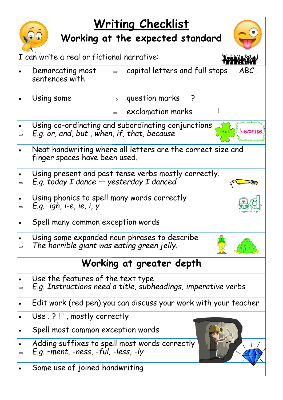## **Writing Checklist**

## **Working at the expected standard**